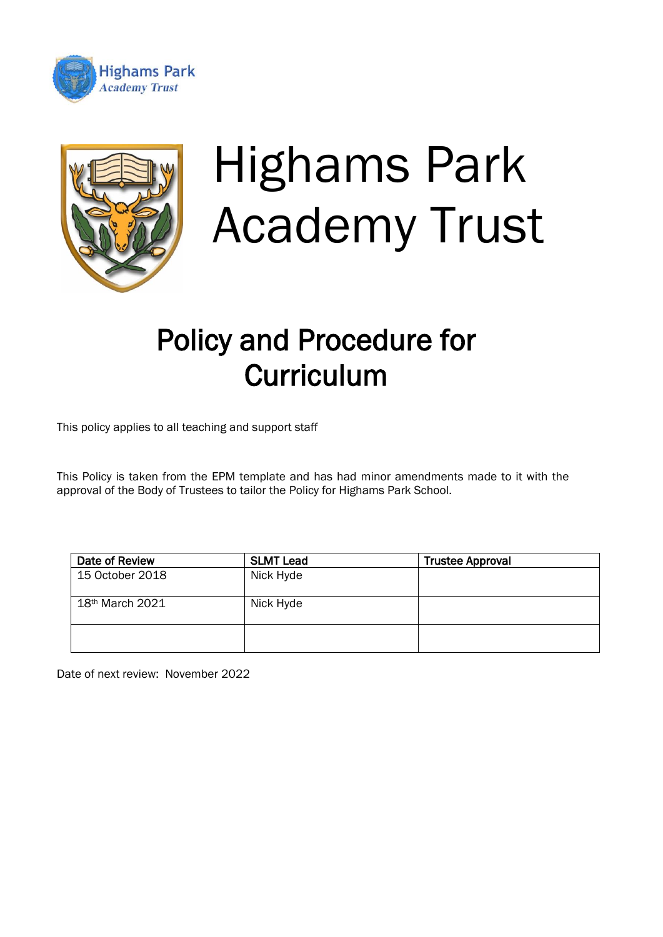



# Highams Park Academy Trust

# Policy and Procedure for **Curriculum**

This policy applies to all teaching and support staff

This Policy is taken from the EPM template and has had minor amendments made to it with the approval of the Body of Trustees to tailor the Policy for Highams Park School.

| Date of Review              | <b>SLMT Lead</b> | <b>Trustee Approval</b> |
|-----------------------------|------------------|-------------------------|
| 15 October 2018             | Nick Hyde        |                         |
| 18 <sup>th</sup> March 2021 | Nick Hyde        |                         |
|                             |                  |                         |

Date of next review: November 2022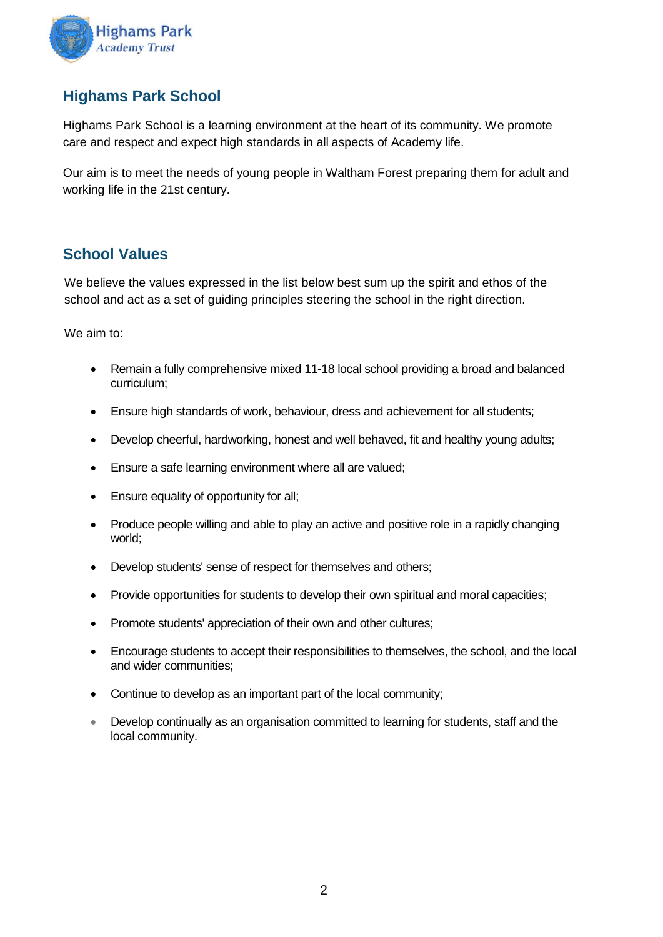

# **Highams Park School**

Highams Park School is a learning environment at the heart of its community. We promote care and respect and expect high standards in all aspects of Academy life.

Our aim is to meet the needs of young people in Waltham Forest preparing them for adult and working life in the 21st century.

## **School Values**

We believe the values expressed in the list below best sum up the spirit and ethos of the school and act as a set of guiding principles steering the school in the right direction.

We aim to:

- Remain a fully comprehensive mixed 11-18 local school providing a broad and balanced curriculum;
- Ensure high standards of work, behaviour, dress and achievement for all students;
- Develop cheerful, hardworking, honest and well behaved, fit and healthy young adults;
- Ensure a safe learning environment where all are valued;
- Ensure equality of opportunity for all;
- Produce people willing and able to play an active and positive role in a rapidly changing world;
- Develop students' sense of respect for themselves and others;
- Provide opportunities for students to develop their own spiritual and moral capacities;
- Promote students' appreciation of their own and other cultures;
- Encourage students to accept their responsibilities to themselves, the school, and the local and wider communities;
- Continue to develop as an important part of the local community;
- Develop continually as an organisation committed to learning for students, staff and the local community.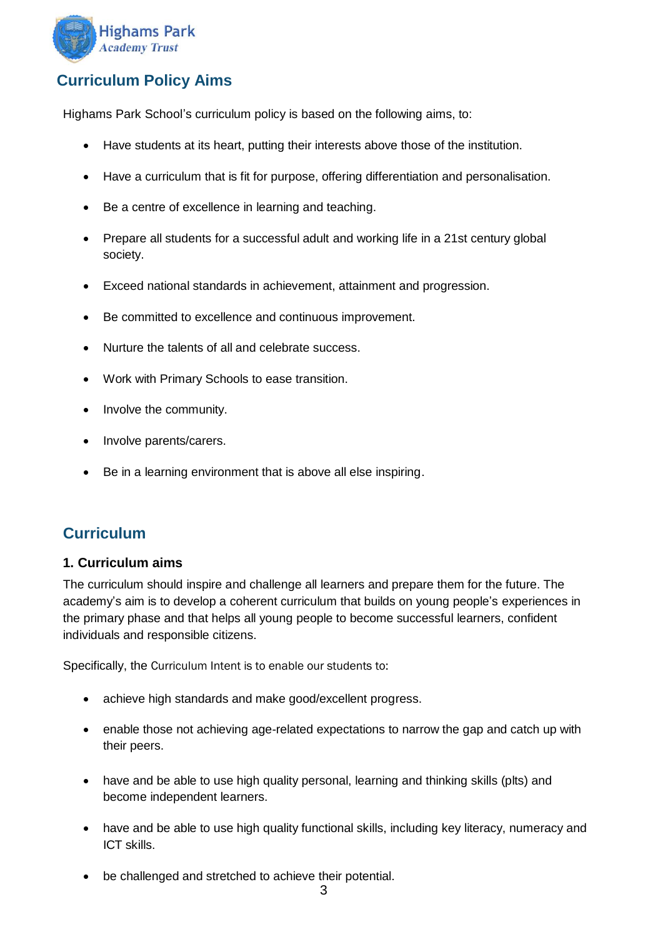

# **Curriculum Policy Aims**

Highams Park School's curriculum policy is based on the following aims, to:

- Have students at its heart, putting their interests above those of the institution.
- Have a curriculum that is fit for purpose, offering differentiation and personalisation.
- Be a centre of excellence in learning and teaching.
- Prepare all students for a successful adult and working life in a 21st century global society.
- Exceed national standards in achievement, attainment and progression.
- Be committed to excellence and continuous improvement.
- Nurture the talents of all and celebrate success.
- Work with Primary Schools to ease transition.
- Involve the community.
- Involve parents/carers.
- Be in a learning environment that is above all else inspiring.

### **Curriculum**

#### **1. Curriculum aims**

The curriculum should inspire and challenge all learners and prepare them for the future. The academy's aim is to develop a coherent curriculum that builds on young people's experiences in the primary phase and that helps all young people to become successful learners, confident individuals and responsible citizens.

Specifically, the Curriculum Intent is to enable our students to:

- achieve high standards and make good/excellent progress.
- enable those not achieving age-related expectations to narrow the gap and catch up with their peers.
- have and be able to use high quality personal, learning and thinking skills (plts) and become independent learners.
- have and be able to use high quality functional skills, including key literacy, numeracy and ICT skills.
- be challenged and stretched to achieve their potential.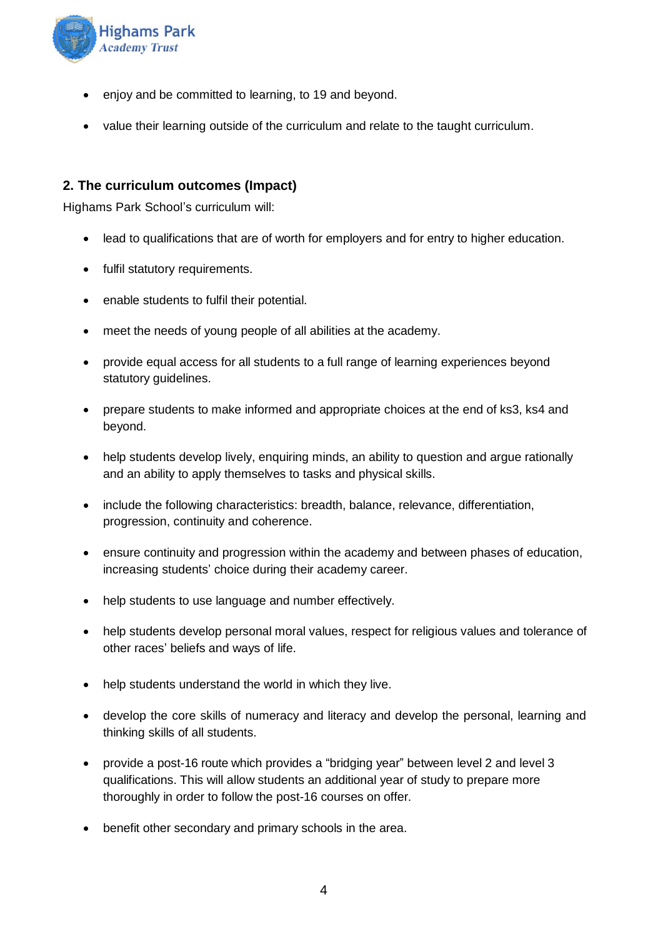

- enjoy and be committed to learning, to 19 and beyond.
- value their learning outside of the curriculum and relate to the taught curriculum.

#### **2. The curriculum outcomes (Impact)**

Highams Park School's curriculum will:

- lead to qualifications that are of worth for employers and for entry to higher education.
- fulfil statutory requirements.
- enable students to fulfil their potential.
- meet the needs of young people of all abilities at the academy.
- provide equal access for all students to a full range of learning experiences beyond statutory guidelines.
- prepare students to make informed and appropriate choices at the end of ks3, ks4 and beyond.
- help students develop lively, enquiring minds, an ability to question and argue rationally and an ability to apply themselves to tasks and physical skills.
- include the following characteristics: breadth, balance, relevance, differentiation, progression, continuity and coherence.
- ensure continuity and progression within the academy and between phases of education, increasing students' choice during their academy career.
- help students to use language and number effectively.
- help students develop personal moral values, respect for religious values and tolerance of other races' beliefs and ways of life.
- help students understand the world in which they live.
- develop the core skills of numeracy and literacy and develop the personal, learning and thinking skills of all students.
- provide a post-16 route which provides a "bridging year" between level 2 and level 3 qualifications. This will allow students an additional year of study to prepare more thoroughly in order to follow the post-16 courses on offer.
- benefit other secondary and primary schools in the area.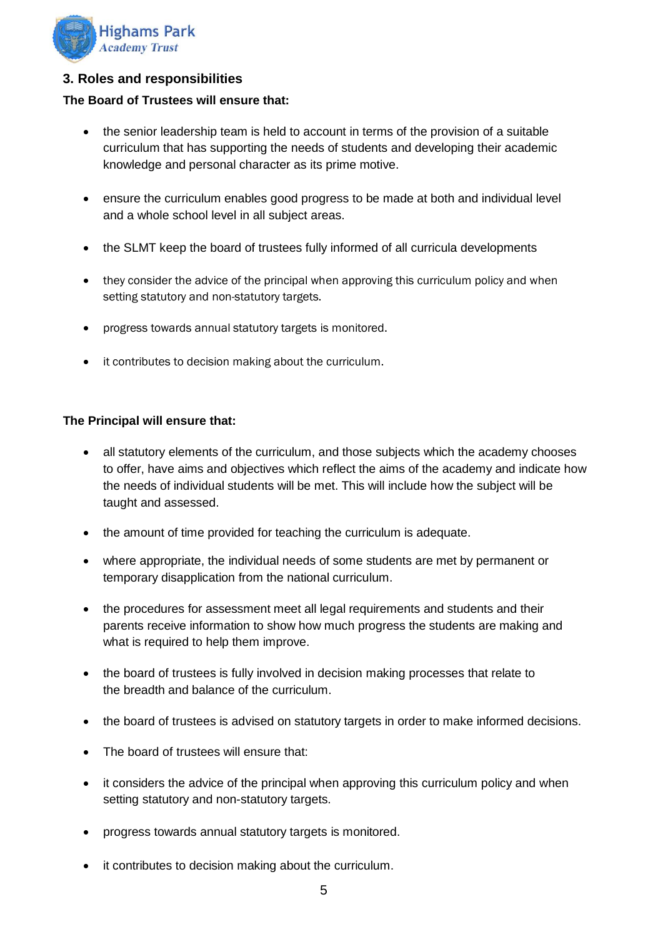

#### **3. Roles and responsibilities**

#### **The Board of Trustees will ensure that:**

- the senior leadership team is held to account in terms of the provision of a suitable curriculum that has supporting the needs of students and developing their academic knowledge and personal character as its prime motive.
- ensure the curriculum enables good progress to be made at both and individual level and a whole school level in all subject areas.
- the SLMT keep the board of trustees fully informed of all curricula developments
- they consider the advice of the principal when approving this curriculum policy and when setting statutory and non-statutory targets.
- progress towards annual statutory targets is monitored.
- it contributes to decision making about the curriculum.

#### **The Principal will ensure that:**

- all statutory elements of the curriculum, and those subjects which the academy chooses to offer, have aims and objectives which reflect the aims of the academy and indicate how the needs of individual students will be met. This will include how the subject will be taught and assessed.
- the amount of time provided for teaching the curriculum is adequate.
- where appropriate, the individual needs of some students are met by permanent or temporary disapplication from the national curriculum.
- the procedures for assessment meet all legal requirements and students and their parents receive information to show how much progress the students are making and what is required to help them improve.
- the board of trustees is fully involved in decision making processes that relate to the breadth and balance of the curriculum.
- the board of trustees is advised on statutory targets in order to make informed decisions.
- The board of trustees will ensure that:
- it considers the advice of the principal when approving this curriculum policy and when setting statutory and non-statutory targets.
- progress towards annual statutory targets is monitored.
- it contributes to decision making about the curriculum.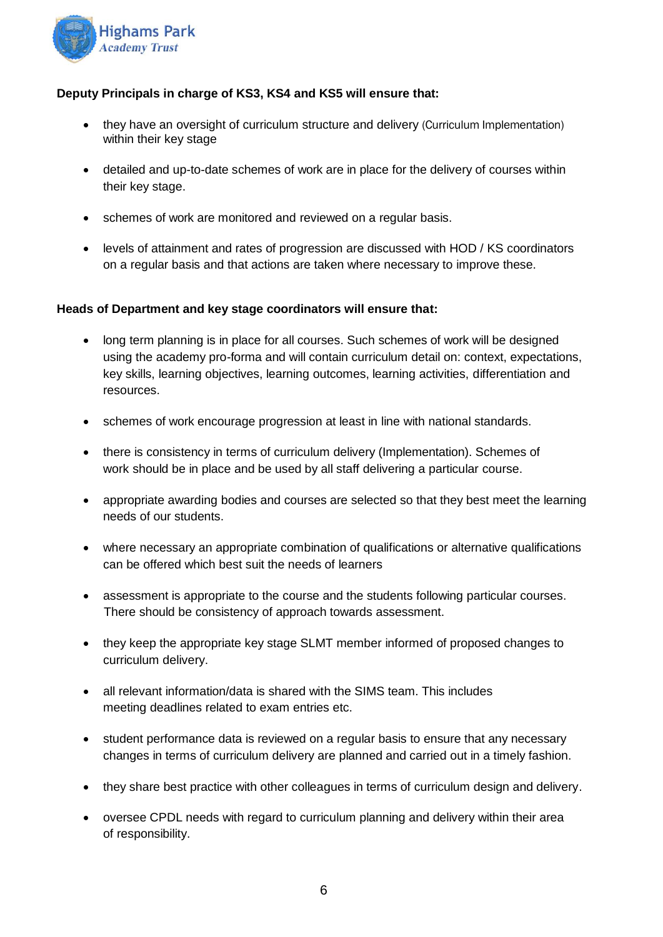

#### **Deputy Principals in charge of KS3, KS4 and KS5 will ensure that:**

- they have an oversight of curriculum structure and delivery (Curriculum Implementation) within their key stage
- detailed and up-to-date schemes of work are in place for the delivery of courses within their key stage.
- schemes of work are monitored and reviewed on a regular basis.
- levels of attainment and rates of progression are discussed with HOD / KS coordinators on a regular basis and that actions are taken where necessary to improve these.

#### **Heads of Department and key stage coordinators will ensure that:**

- long term planning is in place for all courses. Such schemes of work will be designed using the academy pro-forma and will contain curriculum detail on: context, expectations, key skills, learning objectives, learning outcomes, learning activities, differentiation and resources.
- schemes of work encourage progression at least in line with national standards.
- there is consistency in terms of curriculum delivery (Implementation). Schemes of work should be in place and be used by all staff delivering a particular course.
- appropriate awarding bodies and courses are selected so that they best meet the learning needs of our students.
- where necessary an appropriate combination of qualifications or alternative qualifications can be offered which best suit the needs of learners
- assessment is appropriate to the course and the students following particular courses. There should be consistency of approach towards assessment.
- they keep the appropriate key stage SLMT member informed of proposed changes to curriculum delivery.
- all relevant information/data is shared with the SIMS team. This includes meeting deadlines related to exam entries etc.
- student performance data is reviewed on a regular basis to ensure that any necessary changes in terms of curriculum delivery are planned and carried out in a timely fashion.
- they share best practice with other colleagues in terms of curriculum design and delivery.
- oversee CPDL needs with regard to curriculum planning and delivery within their area of responsibility.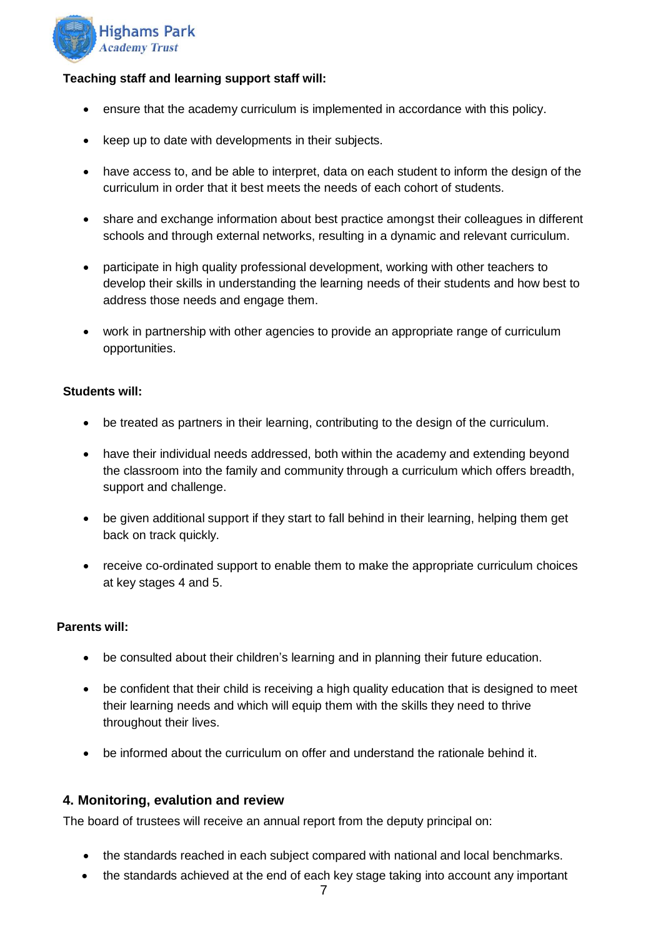

#### **Teaching staff and learning support staff will:**

- ensure that the academy curriculum is implemented in accordance with this policy.
- keep up to date with developments in their subjects.
- have access to, and be able to interpret, data on each student to inform the design of the curriculum in order that it best meets the needs of each cohort of students.
- share and exchange information about best practice amongst their colleagues in different schools and through external networks, resulting in a dynamic and relevant curriculum.
- participate in high quality professional development, working with other teachers to develop their skills in understanding the learning needs of their students and how best to address those needs and engage them.
- work in partnership with other agencies to provide an appropriate range of curriculum opportunities.

#### **Students will:**

- be treated as partners in their learning, contributing to the design of the curriculum.
- have their individual needs addressed, both within the academy and extending beyond the classroom into the family and community through a curriculum which offers breadth, support and challenge.
- be given additional support if they start to fall behind in their learning, helping them get back on track quickly.
- receive co-ordinated support to enable them to make the appropriate curriculum choices at key stages 4 and 5.

#### **Parents will:**

- be consulted about their children's learning and in planning their future education.
- be confident that their child is receiving a high quality education that is designed to meet their learning needs and which will equip them with the skills they need to thrive throughout their lives.
- be informed about the curriculum on offer and understand the rationale behind it.

#### **4. Monitoring, evalution and review**

The board of trustees will receive an annual report from the deputy principal on:

- the standards reached in each subject compared with national and local benchmarks.
- the standards achieved at the end of each key stage taking into account any important